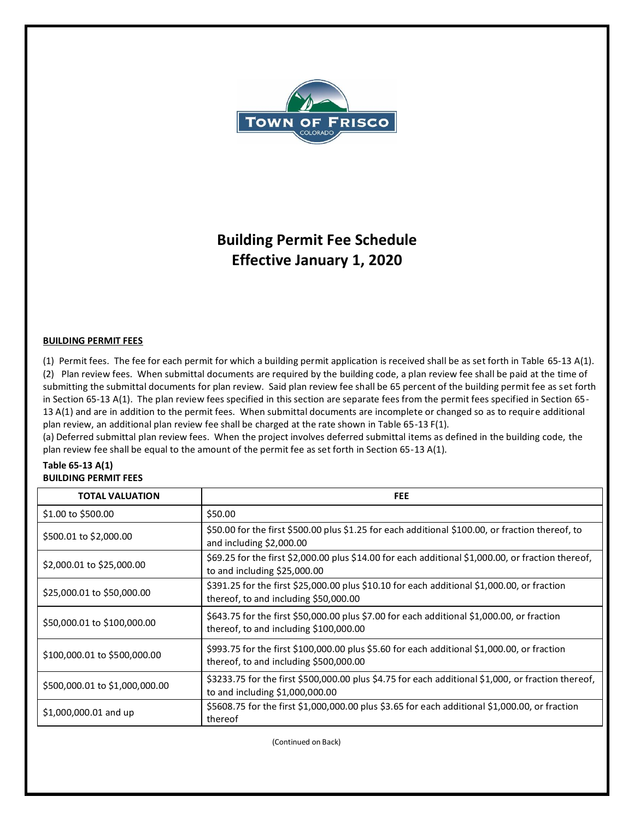

# **Building Permit Fee Schedule Effective January 1, 2020**

## **BUILDING PERMIT FEES**

(1) Permit fees. The fee for each permit for which a building permit application is received shall be as set forth in Table 65-13 A(1). (2) Plan review fees. When submittal documents are required by the building code, a plan review fee shall be paid at the time of submitting the submittal documents for plan review. Said plan review fee shall be 65 percent of the building permit fee as set forth in Section 65-13 A(1). The plan review fees specified in this section are separate fees from the permit fees specified in Section 65- 13 A(1) and are in addition to the permit fees. When submittal documents are incomplete or changed so as to require additional plan review, an additional plan review fee shall be charged at the rate shown in Table 65-13 F(1).

(a) Deferred submittal plan review fees. When the project involves deferred submittal items as defined in the building code, the plan review fee shall be equal to the amount of the permit fee as set forth in Section 65-13 A(1).

#### **Table 65-13 A(1) BUILDING PERMIT FEES**

| <b>TOTAL VALUATION</b>         | <b>FEE</b>                                                                                                                            |
|--------------------------------|---------------------------------------------------------------------------------------------------------------------------------------|
| \$1.00 to \$500.00             | \$50.00                                                                                                                               |
| \$500.01 to \$2,000.00         | \$50.00 for the first \$500.00 plus \$1.25 for each additional \$100.00, or fraction thereof, to<br>and including \$2,000.00          |
| \$2,000.01 to \$25,000.00      | \$69.25 for the first \$2,000.00 plus \$14.00 for each additional \$1,000.00, or fraction thereof,<br>to and including $$25,000.00$   |
| \$25,000.01 to \$50,000.00     | \$391.25 for the first \$25,000.00 plus \$10.10 for each additional \$1,000.00, or fraction<br>thereof, to and including \$50,000.00  |
| \$50,000.01 to \$100,000.00    | \$643.75 for the first \$50,000.00 plus \$7.00 for each additional \$1,000.00, or fraction<br>thereof, to and including \$100,000.00  |
| \$100,000.01 to \$500,000.00   | \$993.75 for the first \$100,000.00 plus \$5.60 for each additional \$1,000.00, or fraction<br>thereof, to and including \$500,000.00 |
| \$500,000.01 to \$1,000,000.00 | \$3233.75 for the first \$500,000.00 plus \$4.75 for each additional \$1,000, or fraction thereof,<br>to and including \$1,000,000.00 |
| \$1,000,000.01 and up          | \$5608.75 for the first \$1,000,000.00 plus \$3.65 for each additional \$1,000.00, or fraction<br>thereof                             |

(Continued on Back)